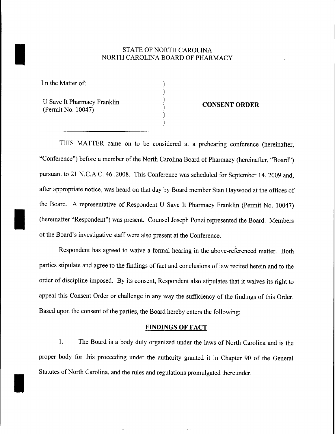## STATE OF NORTH CAROLINA<br>NORTH CAROLINA BOARD OF PHAR NORTH CAROLINA BOARD OF PHARMACY

) ) ) ) ) )I

I n the Matter of:

I

U Save It Pharmacy Franklin (Permit No. 10047)

## **CONSENT ORDER**

THIS MATTER came on to be considered at a prehearing conference (hereinafter, "Conference") before a member of the North Carolina Board of Pharmacy (hereinafter, "Board") pursuant to 21 N.C.A.C. 46 .2008. This Conference was scheduled for September 14,2009 and, after appropriate notice, was heard on that day by Board member Stan Haywood at the offices of the Board. A representative of Respondent U Save It Pharmacy Franklin (Permit No. 10047)<br>(hereinafter "Respondent") was present. Counsel Joseph Ponzi represented the Board. Members of the Board's investigative staff were also present at the Conference.

Respondent has agreed to waive a formal hearing in the above-referenced matter. Both parties stipulate and agree to the findings of fact and conclusions of law recited herein and to the order of discipline imposed. By its consent, Respondent also stipulates that it waives its right to appeal this Consent Order or challenge in any way the sufficiency of the findings of this Order. Based upon the consent of the parties, the Board hereby enters the following:

## **FINDINGS OF FACT**

1. The Board is a body duly organized under the laws of North Carolina and is the proper body for this proceeding under the authority granted it in Chapter 90 of the General Statutes of North Carolina, and the rules and regulations promulgated thereunder.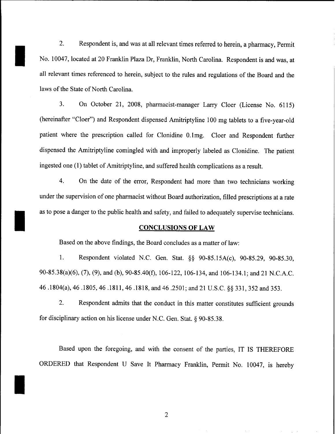2. Respondent is, and was at all relevant times referred to herein, a pharmacy, Permit No. 10047, located at 20 Franklin Plaza Dr, Franklin, North Carolina. Respondent is and was, at all relevant times referenced to herein, subject to the rules and regulations of the Board and the laws of the State of North Carolina.

I

I

I

3. On October 21, 2008, pharmacist-manager Larry Cloer (License No. 6115) (hereinafter "Cloer") and Respondent dispensed Amitriptyline 100 mg tablets to a five-year-old patient where the prescription called for Clonidine O.1mg. Cloer and Respondent further dispensed the Amitriptyline comingled with and improperly labeled as Clonidine. The patient ingested one (1) tablet of Amitriptyline, and suffered health complications as a result.

4. On the date of the error, Respondent had more than two technicians working under the supervision of one pharmacist without Board authorization, filled prescriptions at a rate as to pose a danger to the public health and safety, and failed to adequately supervise technicians.

## **CONCLUSIONS OF LAW**

Based on the above findings, the Board concludes as a matter of law:

1. Respondent violated N.C. Gen. Stat. §§ 90-85.15A(c), 90-85.29, 90-85.30, 90-85.38(a)(6), (7), (9), and (b), 90-85.40(f), 106-122, 106-134, and 106-134.1; and 21 N.C.A.C. 46 .1804(a), 46.1805,46.1811,46.1818, and 46.2501; and 21 U.S.c. §§ 331, 352 and 353.

2. Respondent admits that the conduct in this matter constitutes sufficient grounds for disciplinary action on his license under N.C. Gen. Stat. § 90-85.38.

Based upon the foregoing, and with the consent of the parties, IT IS THEREFORE ORDERED that Respondent U Save It Pharmacy Franklin, Permit No. 10047, is hereby

2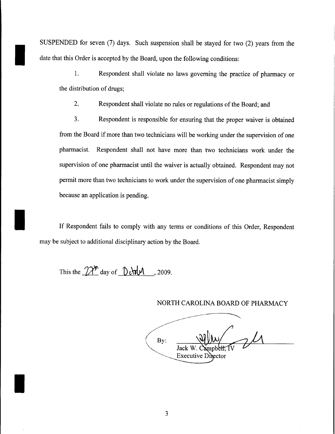SUSPENDED for seven (7) days. Such suspension shall be stayed for two (2) years from the date that this Order is accepted by the Board, upon the following conditions:

1. Respondent shall violate no laws governing the practice of pharmacy or the distribution of drugs;

2. Respondent shall violate no rules or regulations of the Board; and

3. Respondent is responsible for ensuring that the proper waiver is obtained from the Board if more than two technicians will be working under the supervision of one pharmacist. Respondent shall not have more than two technicians work under the supervision of one pharmacist until the waiver is actually obtained. Respondent may not permit more than two technicians to work under the supervision of one pharmacist simply because an application is pending.

If Respondent fails to comply with any terms or conditions of this Order, Respondent may be subject to additional disciplinary action by the Board.

This the  $2\lambda^{m}$  day of  $0$   $\lambda^{m}$ . 2009.

I

I

I

NORTH CAROLINA BOARD OF PHARMACY

-------------~  $($ <sub>By:</sub>  $\mathcal{W}$   $\rightarrow$  1 Jack W. **Executive Director**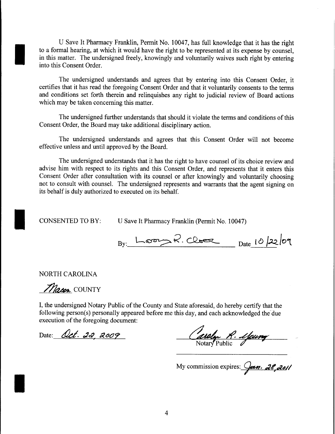U Save It Pharmacy Franklin, Permit No. 10047, has full knowledge that it has the right to a formal hearing, at which it would have the right to be represented at its expense by counsel, in this matter. The undersigned freely, knowingly and voluntarily waives such right by entering into this Consent Order.

The undersigned understands and agrees that by entering into this Consent Order, it certifies that it has read the foregoing Consent Order and that it voluntarily consents to the terms and conditions set forth therein and relinquishes any right to judicial review of Board actions which may be taken concerning this matter.

The undersigned further understands that should it violate the terms and conditions of this Consent Order, the Board may take additional disciplinary action.

The undersigned understands and agrees that this Consent Order will not become effective unless and until approved by the Board.

The undersigned understands that it has the right to have counsel of its choice review and advise him with respect to its rights and this Consent Order, and represents that it enters this Consent Order after consultation with its counsel or after knowingly and voluntarily choosing not to consult with counsel. The undersigned represents and warrants that the agent signing on its behalf is duly authorized to executed on its behalf.

CONSENTED TO BY:

I

I

U Save It Pharmacy Franklin (Permit No. 10047)

By: Loom R. Close Date 10/22/09

NORTH CAROLINA

Macon COUNTY

I, the undersigned Notary Public of the County and State aforesaid, do hereby certify that the following person(s) personally appeared before me this day, and each acknowledged the'due execution of the foregoing document:

Date: Oct. 22, 2009

Caroly R. Young

My commission expires: *Jean. 28, 2011*